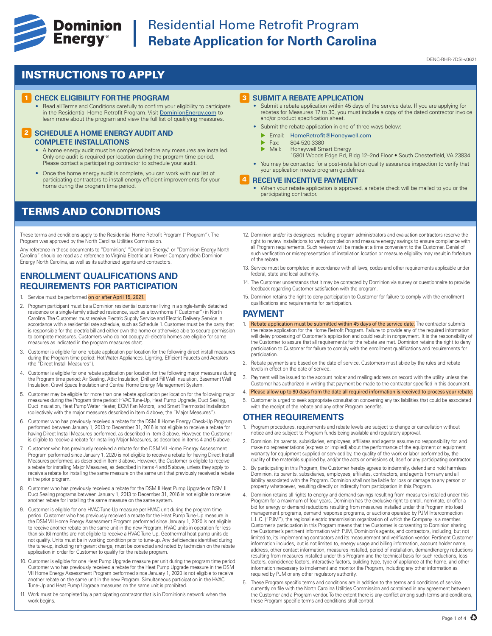

## **Experience Cominion** Residential Home Retrofit Program<br> **Energy**<sup>®</sup> Rebate Application for North Caroli **Rebate Application for North Carolina**

#### DENC-RHR-7DSI-v0621

### INSTRUCTIONS TO APPLY

#### **1 CHECK ELIGIBILITY FOR THE PROGRAM**

• Read all Terms and Conditions carefully to confirm your eligibility to participate in the Residential Home Retrofit Program. Visit DominionEnergy.com to learn more about the program and view the full list of qualifying measures.

#### **2 SCHEDULE A HOME ENERGY AUDIT AND COMPLETE INSTALLATIONS**

- A home energy audit must be completed before any measures are installed. Only one audit is required per location during the program time period. Please contact a participating contractor to schedule your audit
- Once the home energy audit is complete, you can work with our list of participating contractors to install energy-efficient improvements for your home during the program time period.

### TERMS AND CONDITIONS

These terms and conditions apply to the Residential Home Retrofit Program ("Program"). The Program was approved by the North Carolina Utilities Commission.

Any reference in these documents to "Dominion," "Dominion Energy," or "Dominion Energy North Carolina" should be read as a reference to Virginia Electric and Power Company d/b/a Dominion Energy North Carolina, as well as its authorized agents and contractors.

### **ENROLLMENT QUALIFICATIONS AND REQUIREMENTS FOR PARTICIPATION**

- 1. Service must be performed on or after April 15, 2021.
- 2. Program participant must be a Dominion residential customer living in a single-family detached residence or a single-family attached residence, such as a townhome ("Customer") in North Carolina. The Customer must receive Electric Supply Service and Electric Delivery Service in accordance with a residential rate schedule, such as Schedule 1. Customer must be the party that is responsible for the electric bill and either own the home or otherwise able to secure permission to complete measures. Customers who do not occupy all-electric homes are eligible for some measures as indicated in the program measures chart.
- 3. Customer is eligible for one rebate application per location for the following direct install measures during the Program time period: Hot Water Appliances, Lighting, Efficient Faucets and Aerators (the "Direct Install Measures").
- 4. Customer is eligible for one rebate application per location for the following major measures during the Program time period: Air Sealing, Attic Insulation, Drill and Fill Wall Insulation, Basement Wall Insulation, Crawl Space Insulation and Central Home Energy Management System.
- 5. Customer may be eligible for more than one rebate application per location for the following major measures during the Program time period: HVAC Tune-Up, Heat Pump Upgrade, Duct Sealing, Duct Insulation, Heat Pump Water Heater, ECM Fan Motors, and Smart Thermostat Installation (collectively with the major measures described in Item 4 above, the "Major Measures").
- 6. Customer who has previously received a rebate for the DSM II Home Energy Check-Up Program performed between January 1, 2013 to December 31, 2016 is not eligible to receive a rebate for having Direct Install Measures performed, as described in Item 3 above. However, the Customer is eligible to receive a rebate for installing Major Measures, as described in items 4 and 5 above.
- 7. Customer who has previously received a rebate for the DSM VII Home Energy Assessment Program performed since January 1, 2020 is not eligible to receive a rebate for having Direct Install Measures performed, as described in Item 3 above. However, the Customer is eligible to receive a rebate for installing Major Measures, as described in items 4 and 5 above, unless they apply to receive a rebate for installing the same measure on the same unit that previously received a rebate in the prior program.
- 8. Customer who has previously received a rebate for the DSM II Heat Pump Upgrade or DSM II Duct Sealing programs between January 1, 2013 to December 31, 2016 is not eligible to receive another rebate for installing the same measure on the same system.
- 9. Customer is eligible for one HVAC Tune-Up measure per HVAC unit during the program time period. Customer who has previously received a rebate for the Heat Pump Tune-Up measure in the DSM VII Home Energy Assessment Program performed since January 1, 2020 is not eligible to receive another rebate on the same unit in the new Program. HVAC units in operation for less than six (6) months are not eligible to receive a HVAC Tune-Up. Geothermal heat pump units do not qualify. Units must be in working condition prior to tune-up. Any deficiencies identified during the tune-up, including refrigerant charge, must be corrected and noted by technician on the rebate application in order for Customer to qualify for the rebate program.
- 10. Customer is eligible for one Heat Pump Upgrade measure per unit during the program time period. Customer who has previously received a rebate for the Heat Pump Upgrade measure in the DSM VII Home Energy Assessment Program performed since January 1, 2020 is not eligible to receive another rebate on the same unit in the new Program. Simultaneous participation in the HVAC Tune-Up and Heat Pump Upgrade measures on the same unit is prohibited.
- 11. Work must be completed by a participating contractor that is in Dominion's network when the work begins.

#### 3 **SUBMIT A REBATE APPLICATION**

- Submit a rebate application within 45 days of the service date. If you are applying for rebates for Measures 17 to 30, you must include a copy of the dated contractor invoice and/or product specification sheet.
- Submit the rebate application in one of three ways below:
	- **Email:** HomeRetrofit@Honeywell.com
	- $\triangleright$  Fax: 804-520-3380<br> $\triangleright$  Mail: Honeywell Sm
	- Honeywell Smart Energy
	- 15801 Woods Edge Rd, Bldg 12–2nd Floor South Chesterfield, VA 23834
- You may be contacted for a post-installation quality assurance inspection to verify that your application meets program guidelines.

#### 4 **RECEIVE INCENTIVE PAYMENT**

- When your rebate application is approved, a rebate check will be mailed to you or the participating contractor.
- 12. Dominion and/or its designees including program administrators and evaluation contractors reserve the right to review installations to verify completion and measure energy savings to ensure compliance with all Program requirements. Such reviews will be made at a time convenient to the Customer. Denial of such verification or misrepresentation of installation location or measure eligibility may result in forfeiture of the rebate.
- 13. Service must be completed in accordance with all laws, codes and other requirements applicable under federal, state and local authority
- 14. The Customer understands that it may be contacted by Dominion via survey or questionnaire to provide feedback regarding Customer satisfaction with the program.
- 15. Dominion retains the right to deny participation to Customer for failure to comply with the enrollment qualifications and requirements for participation.

#### **PAYMENT**

- 1. Rebate application must be submitted within 45 days of the service date. The contractor submits the rebate application for the Home Retrofit Program. Failure to provide any of the required information will delay processing of Customer's application and could result in nonpayment. It is the responsibility of the Customer to assure that all requirements for the rebate are met. Dominion retains the right to deny participation to Customer for failure to comply with the enrollment qualifications and requirements for participation.
- 2. Rebate payments are based on the date of service. Customers must abide by the rules and rebate levels in effect on the date of service.
- 3. Payment will be issued to the account holder and mailing address on record with the utility unless the Customer has authorized in writing that payment be made to the contractor specified in this document.
- 4. Please allow up to 90 days from the date all required information is received to process your rebate.
- 5. Customer is urged to seek appropriate consultation concerning any tax liabilities that could be associated with the receipt of the rebate and any other Program benefits

#### **OTHER REQUIREMENTS**

- 1. Program procedures, requirements and rebate levels are subject to change or cancellation without notice and are subject to Program funds being available and regulatory approval.
- 2. Dominion, its parents, subsidiaries, employees, affiliates and agents assume no responsibility for, and make no representations (express or implied) about the performance of the equipment or equipment warranty for equipment supplied or serviced by, the quality of the work or labor performed by, the quality of the materials supplied by, and/or the acts or omissions of, itself or any participating contractor.
- 3. By participating in this Program, the Customer hereby agrees to indemnify, defend and hold harmless Dominion, its parents, subsidiaries, employees, affiliates, contractors, and agents from any and all liability associated with the Program. Dominion shall not be liable for loss or damage to any person or property whatsoever, resulting directly or indirectly from participation in this Program.
- 4. Dominion retains all rights to energy and demand savings resulting from measures installed under this Program for a maximum of four years. Dominion has the exclusive right to enroll, nominate, or offer a bid for energy or demand reductions resulting from measures installed under this Program into load management programs, demand response programs, or auctions operated by PJM Interconnection L.L.C. ("PJM"), the regional electric transmission organization of which the Company is a member. Customer's participation in this Program means that the Customer is consenting to Dominion sharing the Customer's pertinent information with PJM, Dominion's agents, and contractors, including, but not limited to, its implementing contractors and its measurement and verification vendor. Pertinent Customer information includes, but is not limited to, energy usage and billing information, account holder name, address, other contact information, measures installed, period of installation, demand/energy reductions resulting from measures installed under this Program and the technical basis for such reductions, loss factors, coincidence factors, interactive factors, building type, type of appliance at the home, and other information necessary to implement and monitor the Program, including any other information as required by PJM or any other regulatory authority.
- 5. These Program specific terms and conditions are in addition to the terms and conditions of service currently on file with the North Carolina Utilities Commission and contained in any agreement between the Customer and a Program vendor. To the extent there is any conflict among such terms and conditions, these Program specific terms and conditions shall control.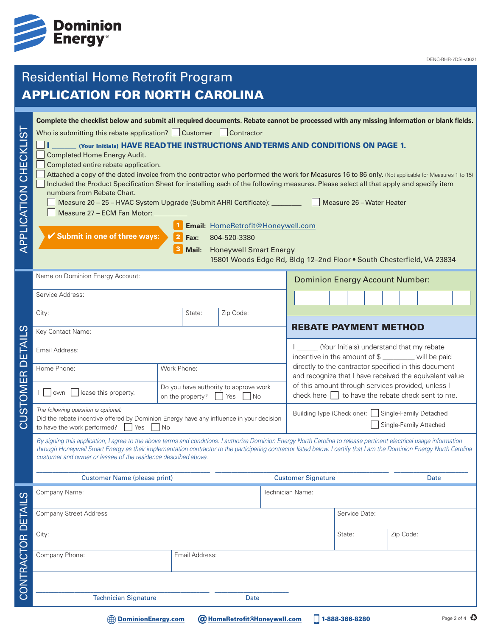

# Residential Home Retrofit Program APPLICATION FOR NORTH CAROLINA

| .<br>(<br>APPLICATION CHECKLI | Complete the checklist below and submit all required documents. Rebate cannot be processed with any missing information or blank fields.<br>Who is submitting this rebate application? Customer Contractor<br>(Your Initials) HAVE READ THE INSTRUCTIONS AND TERMS AND CONDITIONS ON PAGE 1.<br>Completed Home Energy Audit.<br>Completed entire rebate application.<br>Attached a copy of the dated invoice from the contractor who performed the work for Measures 16 to 86 only. (Not applicable for Measures 1 to 15)<br>Included the Product Specification Sheet for installing each of the following measures. Please select all that apply and specify item<br>numbers from Rebate Chart.<br>Measure 20 - 25 - HVAC System Upgrade (Submit AHRI Certificate): ________________<br>Measure 27 - ECM Fan Motor: _<br>✔ Submit in one of three ways: | $\overline{2}$<br>Fax:<br>Mail:                                                                                         | Email: HomeRetrofit@Honeywell.com<br>804-520-3380<br><b>Honeywell Smart Energy</b> |                                                                             |                                                                                                                                                                                                                                  | Measure 26 - Water Heater<br>15801 Woods Edge Rd, Bldg 12-2nd Floor . South Chesterfield, VA 23834 |           |             |
|-------------------------------|----------------------------------------------------------------------------------------------------------------------------------------------------------------------------------------------------------------------------------------------------------------------------------------------------------------------------------------------------------------------------------------------------------------------------------------------------------------------------------------------------------------------------------------------------------------------------------------------------------------------------------------------------------------------------------------------------------------------------------------------------------------------------------------------------------------------------------------------------------|-------------------------------------------------------------------------------------------------------------------------|------------------------------------------------------------------------------------|-----------------------------------------------------------------------------|----------------------------------------------------------------------------------------------------------------------------------------------------------------------------------------------------------------------------------|----------------------------------------------------------------------------------------------------|-----------|-------------|
|                               | Name on Dominion Energy Account:                                                                                                                                                                                                                                                                                                                                                                                                                                                                                                                                                                                                                                                                                                                                                                                                                         |                                                                                                                         |                                                                                    | <b>Dominion Energy Account Number:</b>                                      |                                                                                                                                                                                                                                  |                                                                                                    |           |             |
|                               | Service Address:                                                                                                                                                                                                                                                                                                                                                                                                                                                                                                                                                                                                                                                                                                                                                                                                                                         |                                                                                                                         |                                                                                    |                                                                             |                                                                                                                                                                                                                                  |                                                                                                    |           |             |
|                               | City:                                                                                                                                                                                                                                                                                                                                                                                                                                                                                                                                                                                                                                                                                                                                                                                                                                                    | State:                                                                                                                  | Zip Code:                                                                          |                                                                             |                                                                                                                                                                                                                                  |                                                                                                    |           |             |
| ഗ                             | Key Contact Name:                                                                                                                                                                                                                                                                                                                                                                                                                                                                                                                                                                                                                                                                                                                                                                                                                                        |                                                                                                                         |                                                                                    |                                                                             | <b>REBATE PAYMENT METHOD</b>                                                                                                                                                                                                     |                                                                                                    |           |             |
| ш                             | Email Address:                                                                                                                                                                                                                                                                                                                                                                                                                                                                                                                                                                                                                                                                                                                                                                                                                                           |                                                                                                                         |                                                                                    |                                                                             | (Your Initials) understand that my rebate<br>incentive in the amount of \$ _______ will be paid                                                                                                                                  |                                                                                                    |           |             |
| $\overline{\cap}$             | Home Phone:                                                                                                                                                                                                                                                                                                                                                                                                                                                                                                                                                                                                                                                                                                                                                                                                                                              | Work Phone:<br>Do you have authority to approve work<br>lease this property.<br>on the property?<br>  Yes<br>$\vert$ No |                                                                                    |                                                                             | directly to the contractor specified in this document<br>and recognize that I have received the equivalent value<br>of this amount through services provided, unless I<br>check here $\Box$ to have the rebate check sent to me. |                                                                                                    |           |             |
| STOMER                        | l   lown                                                                                                                                                                                                                                                                                                                                                                                                                                                                                                                                                                                                                                                                                                                                                                                                                                                 |                                                                                                                         |                                                                                    |                                                                             |                                                                                                                                                                                                                                  |                                                                                                    |           |             |
| -<br>O                        | The following question is optional:<br>Did the rebate incentive offered by Dominion Energy have any influence in your decision<br>to have the work performed?<br>Yes<br>No                                                                                                                                                                                                                                                                                                                                                                                                                                                                                                                                                                                                                                                                               |                                                                                                                         |                                                                                    | Building Type (Check one): Single-Family Detached<br>Single-Family Attached |                                                                                                                                                                                                                                  |                                                                                                    |           |             |
|                               | By signing this application, I agree to the above terms and conditions. I authorize Dominion Energy North Carolina to release pertinent electrical usage information<br>through Honeywell Smart Energy as their implementation contractor to the participating contractor listed below. I certify that I am the Dominion Energy North Carolina<br>customer and owner or lessee of the residence described above.                                                                                                                                                                                                                                                                                                                                                                                                                                         |                                                                                                                         |                                                                                    |                                                                             |                                                                                                                                                                                                                                  |                                                                                                    |           |             |
|                               | <b>Customer Name (please print)</b>                                                                                                                                                                                                                                                                                                                                                                                                                                                                                                                                                                                                                                                                                                                                                                                                                      |                                                                                                                         |                                                                                    |                                                                             | <b>Customer Signature</b><br><b>Date</b>                                                                                                                                                                                         |                                                                                                    |           |             |
| <u>(၂</u>                     | Company Name:                                                                                                                                                                                                                                                                                                                                                                                                                                                                                                                                                                                                                                                                                                                                                                                                                                            |                                                                                                                         |                                                                                    |                                                                             | Technician Name:                                                                                                                                                                                                                 |                                                                                                    |           |             |
|                               | <b>Company Street Address</b>                                                                                                                                                                                                                                                                                                                                                                                                                                                                                                                                                                                                                                                                                                                                                                                                                            |                                                                                                                         |                                                                                    | Service Date:                                                               |                                                                                                                                                                                                                                  |                                                                                                    |           |             |
|                               | City:                                                                                                                                                                                                                                                                                                                                                                                                                                                                                                                                                                                                                                                                                                                                                                                                                                                    |                                                                                                                         |                                                                                    |                                                                             |                                                                                                                                                                                                                                  | State:                                                                                             | Zip Code: |             |
| CONTRACTOR DETAIL             | Company Phone:                                                                                                                                                                                                                                                                                                                                                                                                                                                                                                                                                                                                                                                                                                                                                                                                                                           | Email Address:                                                                                                          |                                                                                    |                                                                             |                                                                                                                                                                                                                                  |                                                                                                    |           |             |
|                               |                                                                                                                                                                                                                                                                                                                                                                                                                                                                                                                                                                                                                                                                                                                                                                                                                                                          |                                                                                                                         |                                                                                    |                                                                             |                                                                                                                                                                                                                                  |                                                                                                    |           |             |
|                               | <b>Technician Signature</b>                                                                                                                                                                                                                                                                                                                                                                                                                                                                                                                                                                                                                                                                                                                                                                                                                              |                                                                                                                         | Date                                                                               |                                                                             |                                                                                                                                                                                                                                  |                                                                                                    |           |             |
|                               | <b>DominionEnergy.com</b>                                                                                                                                                                                                                                                                                                                                                                                                                                                                                                                                                                                                                                                                                                                                                                                                                                |                                                                                                                         | <b>@ HomeRetrofit@Honeywell.com</b>                                                |                                                                             |                                                                                                                                                                                                                                  | 1-888-366-8280                                                                                     |           | Page 2 of 4 |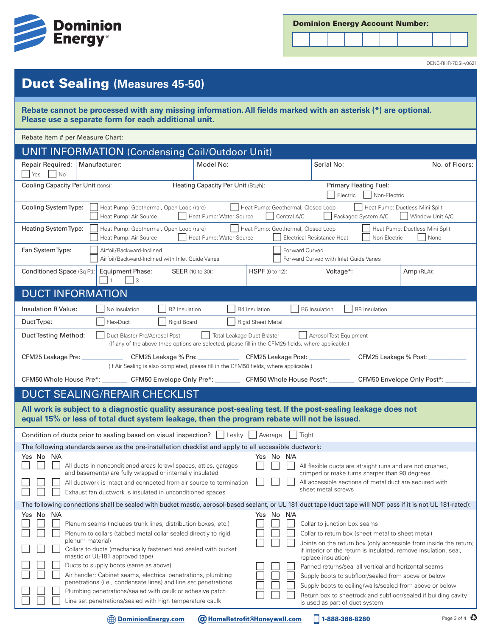

| <b>Dominion Energy Account Number:</b> |  |  |  |
|----------------------------------------|--|--|--|
|----------------------------------------|--|--|--|



DENC-RHR-7DSI-v0621

## Duct Sealing **(Measures 45-50)**

**Rebate cannot be processed with any missing information. All fields marked with an asterisk (\*) are optional. Please use a separate form for each additional unit.** 

Rebate Item # per Measure Chart:

| <b>UNIT INFORMATION (Condensing Coil/Outdoor Unit)</b>                                                                                                                                                                                                           |                                                                                                                                           |                          |                                                                                                                                                              |                |  |
|------------------------------------------------------------------------------------------------------------------------------------------------------------------------------------------------------------------------------------------------------------------|-------------------------------------------------------------------------------------------------------------------------------------------|--------------------------|--------------------------------------------------------------------------------------------------------------------------------------------------------------|----------------|--|
| Repair Required:<br>Manufacturer:                                                                                                                                                                                                                                | Model No:                                                                                                                                 |                          | Serial No:                                                                                                                                                   | No. of Floors: |  |
| Yes<br>$\vert$ No<br>Cooling Capacity Per Unit (tons):                                                                                                                                                                                                           | Heating Capacity Per Unit (Btu/h):                                                                                                        | Primary Heating Fuel:    |                                                                                                                                                              |                |  |
|                                                                                                                                                                                                                                                                  |                                                                                                                                           | Electric<br>Non-Electric |                                                                                                                                                              |                |  |
| Cooling System Type:<br>Heat Pump: Geothermal, Open Loop (rare)<br>Heat Pump: Geothermal, Closed Loop<br>Heat Pump: Ductless Mini Split<br>Heat Pump: Water Source<br>Central A/C<br>Window Unit A/C<br>Heat Pump: Air Source<br>Packaged System A/C             |                                                                                                                                           |                          |                                                                                                                                                              |                |  |
| Heating System Type:<br>Heat Pump: Geothermal, Closed Loop<br>Heat Pump: Geothermal, Open Loop (rare)<br>Heat Pump: Ductless Mini Split<br>None<br>Heat Pump: Water Source<br><b>Electrical Resistance Heat</b><br>Non-Electric<br>Heat Pump: Air Source         |                                                                                                                                           |                          |                                                                                                                                                              |                |  |
| Fan System Type:<br>Airfoil/Backward-Inclined<br>Airfoil/Backward-Inclined with Inlet Guide Vanes                                                                                                                                                                |                                                                                                                                           | Forward Curved           | Forward Curved with Inlet Guide Vanes                                                                                                                        |                |  |
| Conditioned Space (Sq Ft):<br><b>Equipment Phase:</b><br>3                                                                                                                                                                                                       | <b>SEER</b> (10 to 30):                                                                                                                   | <b>HSPF</b> (6 to 12):   | Voltage*:                                                                                                                                                    | Amp (RLA):     |  |
| <b>DUCT INFORMATION</b>                                                                                                                                                                                                                                          |                                                                                                                                           |                          |                                                                                                                                                              |                |  |
| Insulation R Value:<br>No Insulation                                                                                                                                                                                                                             | R4 Insulation<br>R2 Insulation                                                                                                            |                          | R6 Insulation<br>R8 Insulation                                                                                                                               |                |  |
| Flex-Duct<br>Duct Type:                                                                                                                                                                                                                                          | Rigid Board                                                                                                                               | <b>Rigid Sheet Metal</b> |                                                                                                                                                              |                |  |
| Duct Testing Method:<br>Duct Blaster Pre/Aerosol Post                                                                                                                                                                                                            | <b>Total Leakage Duct Blaster</b><br>(If any of the above three options are selected, please fill in the CFM25 fields, where applicable.) |                          | Aerosol Test Equipment                                                                                                                                       |                |  |
| CFM25 Leakage Pre: _____________                                                                                                                                                                                                                                 | CFM25 Leakage % Pre: CFM25 Leakage Post:<br>(If Air Sealing is also completed, please fill in the CFM50 fields, where applicable.)        |                          | CFM25 Leakage % Post:                                                                                                                                        |                |  |
| CFM50 Whole House Pre*: _________ CFM50 Envelope Only Pre*: _________ CFM50 Whole House Post*: ________ CFM50 Envelope Only Post*:                                                                                                                               |                                                                                                                                           |                          |                                                                                                                                                              |                |  |
| <b>DUCT SEALING/REPAIR CHECKLIST</b>                                                                                                                                                                                                                             |                                                                                                                                           |                          |                                                                                                                                                              |                |  |
| All work is subject to a diagnostic quality assurance post-sealing test. If the post-sealing leakage does not<br>equal 15% or less of total duct system leakage, then the program rebate will not be issued.                                                     |                                                                                                                                           |                          |                                                                                                                                                              |                |  |
| Condition of ducts prior to sealing based on visual inspection?     Leaky     Average<br>  Tight                                                                                                                                                                 |                                                                                                                                           |                          |                                                                                                                                                              |                |  |
| The following standards serve as the pre-installation checklist and apply to all accessible ductwork:                                                                                                                                                            |                                                                                                                                           |                          |                                                                                                                                                              |                |  |
| Yes No N/A<br>All ducts in nonconditioned areas (crawl spaces, attics, garages                                                                                                                                                                                   |                                                                                                                                           | Yes No N/A               | All flexible ducts are straight runs and are not crushed,                                                                                                    |                |  |
| and basements) are fully wrapped or internally insulated<br>crimped or make turns sharper than 90 degrees<br>All accessible sections of metal duct are secured with<br>All ductwork is intact and connected from air source to termination<br>sheet metal screws |                                                                                                                                           |                          |                                                                                                                                                              |                |  |
| Exhaust fan ductwork is insulated in unconditioned spaces                                                                                                                                                                                                        |                                                                                                                                           |                          |                                                                                                                                                              |                |  |
| The following connections shall be sealed with bucket mastic, aerosol-based sealant, or UL 181 duct tape (duct tape will NOT pass if it is not UL 181-rated):<br>Yes No N/A<br>Yes No N/A                                                                        |                                                                                                                                           |                          |                                                                                                                                                              |                |  |
| Plenum seams (includes trunk lines, distribution boxes, etc.)                                                                                                                                                                                                    |                                                                                                                                           |                          | Collar to junction box seams                                                                                                                                 |                |  |
| Plenum to collars (tabbed metal collar sealed directly to rigid<br>plenum material)                                                                                                                                                                              |                                                                                                                                           |                          | Collar to return box (sheet metal to sheet metal)                                                                                                            |                |  |
| Collars to ducts (mechanically fastened and sealed with bucket<br>mastic or UL-181 approved tape)                                                                                                                                                                |                                                                                                                                           |                          | Joints on the return box (only accessible from inside the return;<br>if interior of the return is insulated, remove insulation, seal,<br>replace insulation) |                |  |
| Ducts to supply boots (same as above)                                                                                                                                                                                                                            |                                                                                                                                           |                          | Panned returns/seal all vertical and horizontal seams                                                                                                        |                |  |
| Air handler: Cabinet seams, electrical penetrations, plumbing<br>penetrations (i.e., condensate lines) and line set penetrations                                                                                                                                 |                                                                                                                                           |                          | Supply boots to subfloor/sealed from above or below                                                                                                          |                |  |
| Plumbing penetrations/sealed with caulk or adhesive patch                                                                                                                                                                                                        |                                                                                                                                           |                          | Supply boots to ceiling/walls/sealed from above or below<br>Return box to sheetrock and subfloor/sealed if building cavity                                   |                |  |
| Line set penetrations/sealed with high temperature caulk                                                                                                                                                                                                         |                                                                                                                                           |                          | is used as part of duct system                                                                                                                               |                |  |